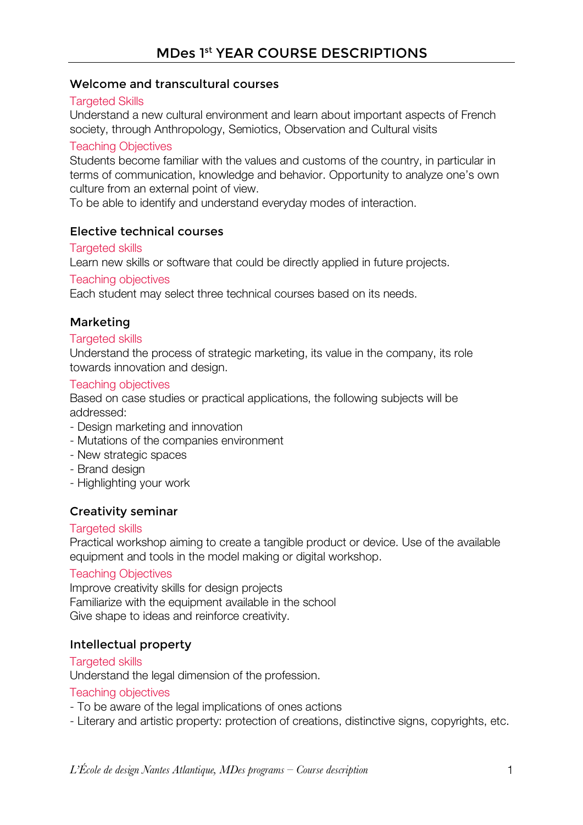# MDes 1st YEAR COURSE DESCRIPTIONS

#### Welcome and transcultural courses

#### **Targeted Skills**

Understand a new cultural environment and learn about important aspects of French society, through Anthropology, Semiotics, Observation and Cultural visits

#### Teaching Objectives

Students become familiar with the values and customs of the country, in particular in terms of communication, knowledge and behavior. Opportunity to analyze one's own culture from an external point of view.

To be able to identify and understand everyday modes of interaction.

### Elective technical courses

#### Targeted skills

Learn new skills or software that could be directly applied in future projects.

#### Teaching objectives

Each student may select three technical courses based on its needs.

#### Marketing

#### Targeted skills

Understand the process of strategic marketing, its value in the company, its role towards innovation and design.

#### Teaching objectives

Based on case studies or practical applications, the following subjects will be addressed:

- Design marketing and innovation
- Mutations of the companies environment
- New strategic spaces
- Brand design
- Highlighting your work

### Creativity seminar

#### Targeted skills

Practical workshop aiming to create a tangible product or device. Use of the available equipment and tools in the model making or digital workshop.

#### Teaching Objectives

Improve creativity skills for design projects Familiarize with the equipment available in the school Give shape to ideas and reinforce creativity.

### Intellectual property

#### Targeted skills

Understand the legal dimension of the profession.

#### Teaching objectives

- To be aware of the legal implications of ones actions
- Literary and artistic property: protection of creations, distinctive signs, copyrights, etc.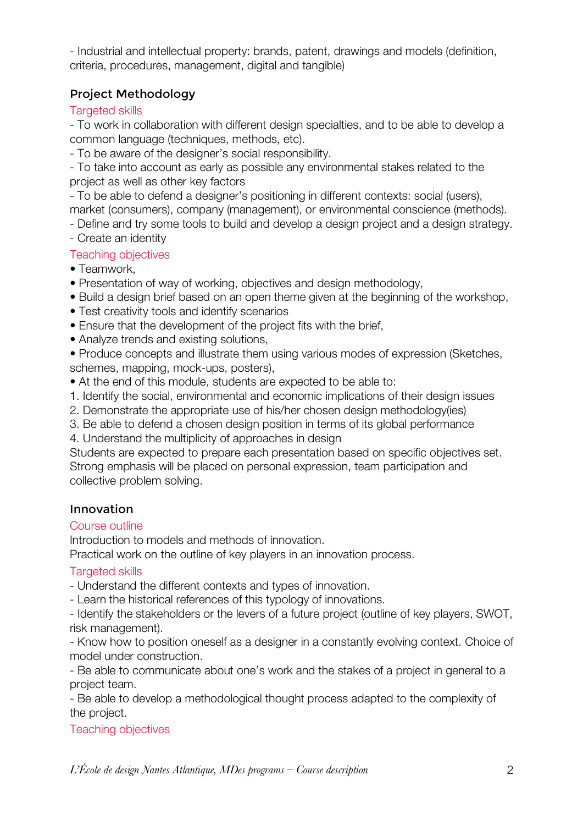- Industrial and intellectual property: brands, patent, drawings and models (definition, criteria, procedures, management, digital and tangible)

## Project Methodology

### Targeted skills

- To work in collaboration with different design specialties, and to be able to develop a common language (techniques, methods, etc).

- To be aware of the designer's social responsibility.

- To take into account as early as possible any environmental stakes related to the project as well as other key factors

- To be able to defend a designer's positioning in different contexts: social (users),

market (consumers), company (management), or environmental conscience (methods).

- Define and try some tools to build and develop a design project and a design strategy.

- Create an identity

### Teaching objectives

- Teamwork,
- Presentation of way of working, objectives and design methodology,
- Build a design brief based on an open theme given at the beginning of the workshop,
- Test creativity tools and identify scenarios
- Ensure that the development of the project fits with the brief,
- Analyze trends and existing solutions,

• Produce concepts and illustrate them using various modes of expression (Sketches, schemes, mapping, mock-ups, posters),

• At the end of this module, students are expected to be able to:

1. Identify the social, environmental and economic implications of their design issues

- 2. Demonstrate the appropriate use of his/her chosen design methodology(ies)
- 3. Be able to defend a chosen design position in terms of its global performance

4. Understand the multiplicity of approaches in design

Students are expected to prepare each presentation based on specific objectives set. Strong emphasis will be placed on personal expression, team participation and collective problem solving.

## Innovation

## Course outline

Introduction to models and methods of innovation.

Practical work on the outline of key players in an innovation process.

## Targeted skills

- Understand the different contexts and types of innovation.

- Learn the historical references of this typology of innovations.

- Identify the stakeholders or the levers of a future project (outline of key players, SWOT, risk management).

- Know how to position oneself as a designer in a constantly evolving context. Choice of model under construction.

- Be able to communicate about one's work and the stakes of a project in general to a project team.

- Be able to develop a methodological thought process adapted to the complexity of the project.

Teaching objectives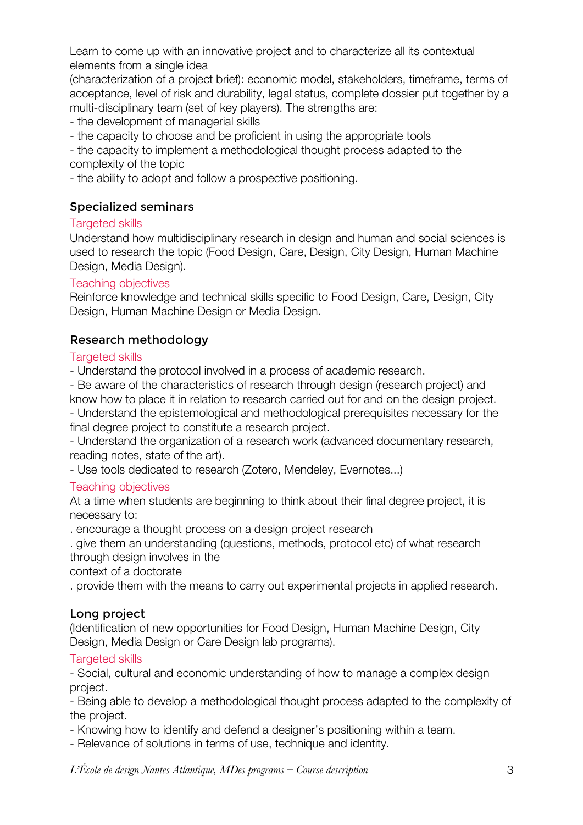Learn to come up with an innovative project and to characterize all its contextual elements from a single idea

(characterization of a project brief): economic model, stakeholders, timeframe, terms of acceptance, level of risk and durability, legal status, complete dossier put together by a multi-disciplinary team (set of key players). The strengths are:

- the development of managerial skills

- the capacity to choose and be proficient in using the appropriate tools

- the capacity to implement a methodological thought process adapted to the complexity of the topic

- the ability to adopt and follow a prospective positioning.

### Specialized seminars

#### Targeted skills

Understand how multidisciplinary research in design and human and social sciences is used to research the topic (Food Design, Care, Design, City Design, Human Machine Design, Media Design).

#### Teaching objectives

Reinforce knowledge and technical skills specific to Food Design, Care, Design, City Design, Human Machine Design or Media Design.

### Research methodology

#### Targeted skills

- Understand the protocol involved in a process of academic research.

- Be aware of the characteristics of research through design (research project) and know how to place it in relation to research carried out for and on the design project.

- Understand the epistemological and methodological prerequisites necessary for the final degree project to constitute a research project.

- Understand the organization of a research work (advanced documentary research, reading notes, state of the art).

- Use tools dedicated to research (Zotero, Mendeley, Evernotes...)

### Teaching objectives

At a time when students are beginning to think about their final degree project, it is necessary to:

. encourage a thought process on a design project research

. give them an understanding (questions, methods, protocol etc) of what research through design involves in the

context of a doctorate

. provide them with the means to carry out experimental projects in applied research.

### Long project

(Identification of new opportunities for Food Design, Human Machine Design, City Design, Media Design or Care Design lab programs).

### Targeted skills

- Social, cultural and economic understanding of how to manage a complex design project.

- Being able to develop a methodological thought process adapted to the complexity of the project.

- Knowing how to identify and defend a designer's positioning within a team.

- Relevance of solutions in terms of use, technique and identity.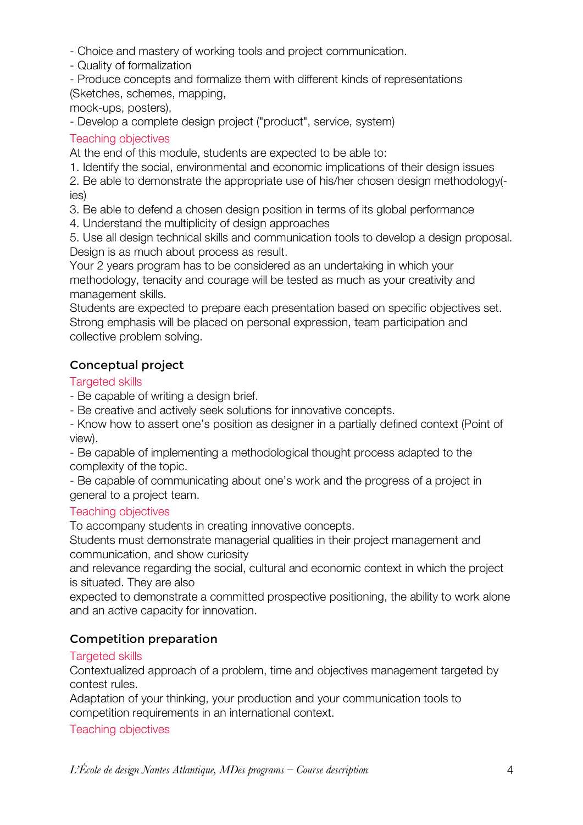- Choice and mastery of working tools and project communication.

- Quality of formalization

- Produce concepts and formalize them with different kinds of representations (Sketches, schemes, mapping,

mock-ups, posters),

- Develop a complete design project ("product", service, system)

## Teaching objectives

At the end of this module, students are expected to be able to:

1. Identify the social, environmental and economic implications of their design issues

2. Be able to demonstrate the appropriate use of his/her chosen design methodology( ies)

3. Be able to defend a chosen design position in terms of its global performance

4. Understand the multiplicity of design approaches

5. Use all design technical skills and communication tools to develop a design proposal. Design is as much about process as result.

Your 2 years program has to be considered as an undertaking in which your methodology, tenacity and courage will be tested as much as your creativity and management skills.

Students are expected to prepare each presentation based on specific objectives set. Strong emphasis will be placed on personal expression, team participation and collective problem solving.

## Conceptual project

### **Targeted skills**

- Be capable of writing a design brief.

- Be creative and actively seek solutions for innovative concepts.

- Know how to assert one's position as designer in a partially defined context (Point of view).

- Be capable of implementing a methodological thought process adapted to the complexity of the topic.

- Be capable of communicating about one's work and the progress of a project in general to a project team.

## Teaching objectives

To accompany students in creating innovative concepts.

Students must demonstrate managerial qualities in their project management and communication, and show curiosity

and relevance regarding the social, cultural and economic context in which the project is situated. They are also

expected to demonstrate a committed prospective positioning, the ability to work alone and an active capacity for innovation.

## Competition preparation

## Targeted skills

Contextualized approach of a problem, time and objectives management targeted by contest rules.

Adaptation of your thinking, your production and your communication tools to competition requirements in an international context.

Teaching objectives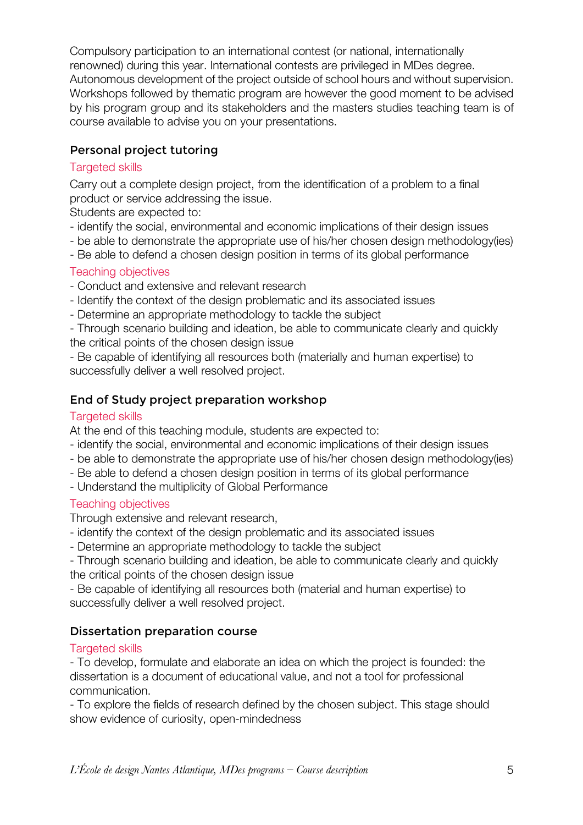Compulsory participation to an international contest (or national, internationally renowned) during this year. International contests are privileged in MDes degree. Autonomous development of the project outside of school hours and without supervision. Workshops followed by thematic program are however the good moment to be advised by his program group and its stakeholders and the masters studies teaching team is of course available to advise you on your presentations.

## Personal project tutoring

### **Targeted skills**

Carry out a complete design project, from the identification of a problem to a final product or service addressing the issue.

Students are expected to:

- identify the social, environmental and economic implications of their design issues
- be able to demonstrate the appropriate use of his/her chosen design methodology(ies)
- Be able to defend a chosen design position in terms of its global performance

### Teaching objectives

- Conduct and extensive and relevant research
- Identify the context of the design problematic and its associated issues
- Determine an appropriate methodology to tackle the subject
- Through scenario building and ideation, be able to communicate clearly and quickly the critical points of the chosen design issue

- Be capable of identifying all resources both (materially and human expertise) to successfully deliver a well resolved project.

## End of Study project preparation workshop

### Targeted skills

At the end of this teaching module, students are expected to:

- identify the social, environmental and economic implications of their design issues
- be able to demonstrate the appropriate use of his/her chosen design methodology(ies)
- Be able to defend a chosen design position in terms of its global performance
- Understand the multiplicity of Global Performance

## Teaching objectives

Through extensive and relevant research,

- identify the context of the design problematic and its associated issues
- Determine an appropriate methodology to tackle the subject
- Through scenario building and ideation, be able to communicate clearly and quickly the critical points of the chosen design issue

- Be capable of identifying all resources both (material and human expertise) to successfully deliver a well resolved project.

## Dissertation preparation course

## Targeted skills

- To develop, formulate and elaborate an idea on which the project is founded: the dissertation is a document of educational value, and not a tool for professional communication.

- To explore the fields of research defined by the chosen subject. This stage should show evidence of curiosity, open-mindedness